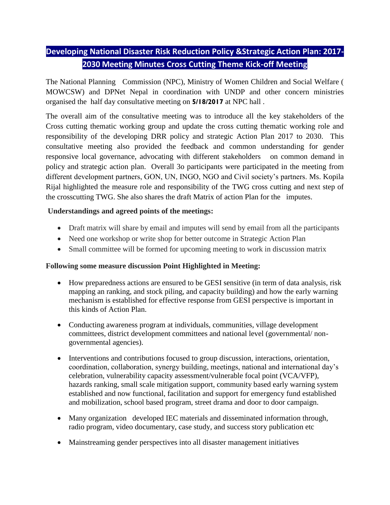## **Developing National Disaster Risk Reduction Policy &Strategic Action Plan: 2017- 2030 Meeting Minutes Cross Cutting Theme Kick-off Meeting**

The National Planning Commission (NPC), Ministry of Women Children and Social Welfare ( MOWCSW) and DPNet Nepal in coordination with UNDP and other concern ministries organised the half day consultative meeting on **5/18/2017** at NPC hall .

The overall aim of the consultative meeting was to introduce all the key stakeholders of the Cross cutting thematic working group and update the cross cutting thematic working role and responsibility of the developing DRR policy and strategic Action Plan 2017 to 2030. This consultative meeting also provided the feedback and common understanding for gender responsive local governance, advocating with different stakeholders on common demand in policy and strategic action plan. Overall 3o participants were participated in the meeting from different development partners, GON, UN, INGO, NGO and Civil society's partners. Ms. Kopila Rijal highlighted the measure role and responsibility of the TWG cross cutting and next step of the crosscutting TWG. She also shares the draft Matrix of action Plan for the imputes.

## **Understandings and agreed points of the meetings:**

- Draft matrix will share by email and imputes will send by email from all the participants
- Need one workshop or write shop for better outcome in Strategic Action Plan
- Small committee will be formed for upcoming meeting to work in discussion matrix

## **Following some measure discussion Point Highlighted in Meeting:**

- How preparedness actions are ensured to be GESI sensitive (in term of data analysis, risk mapping an ranking, and stock piling, and capacity building) and how the early warning mechanism is established for effective response from GESI perspective is important in this kinds of Action Plan.
- Conducting awareness program at individuals, communities, village development committees, district development committees and national level (governmental/ nongovernmental agencies).
- Interventions and contributions focused to group discussion, interactions, orientation, coordination, collaboration, synergy building, meetings, national and international day's celebration, vulnerability capacity assessment/vulnerable focal point (VCA/VFP), hazards ranking, small scale mitigation support, community based early warning system established and now functional, facilitation and support for emergency fund established and mobilization, school based program, street drama and door to door campaign.
- Many organization developed IEC materials and disseminated information through, radio program, video documentary, case study, and success story publication etc
- Mainstreaming gender perspectives into all disaster management initiatives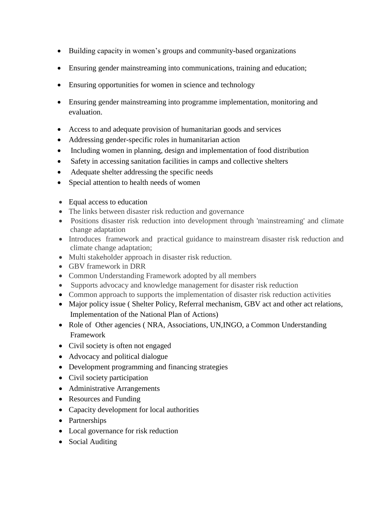- Building capacity in women's groups and community-based organizations
- Ensuring gender mainstreaming into communications, training and education;
- Ensuring opportunities for women in science and technology
- Ensuring gender mainstreaming into programme implementation, monitoring and evaluation.
- Access to and adequate provision of humanitarian goods and services
- Addressing gender-specific roles in humanitarian action
- Including women in planning, design and implementation of food distribution
- Safety in accessing sanitation facilities in camps and collective shelters
- Adequate shelter addressing the specific needs
- Special attention to health needs of women
- Equal access to education
- The links between disaster risk reduction and governance
- Positions disaster risk reduction into development through 'mainstreaming' and climate change adaptation
- Introduces framework and practical guidance to mainstream disaster risk reduction and climate change adaptation;
- Multi stakeholder approach in disaster risk reduction.
- GBV framework in DRR
- Common Understanding Framework adopted by all members
- Supports advocacy and knowledge management for disaster risk reduction
- Common approach to supports the implementation of disaster risk reduction activities
- Major policy issue ( Shelter Policy, Referral mechanism, GBV act and other act relations, Implementation of the National Plan of Actions)
- Role of Other agencies (NRA, Associations, UN, INGO, a Common Understanding Framework
- Civil society is often not engaged
- Advocacy and political dialogue
- Development programming and financing strategies
- Civil society participation
- Administrative Arrangements
- Resources and Funding
- Capacity development for local authorities
- Partnerships
- Local governance for risk reduction
- Social Auditing